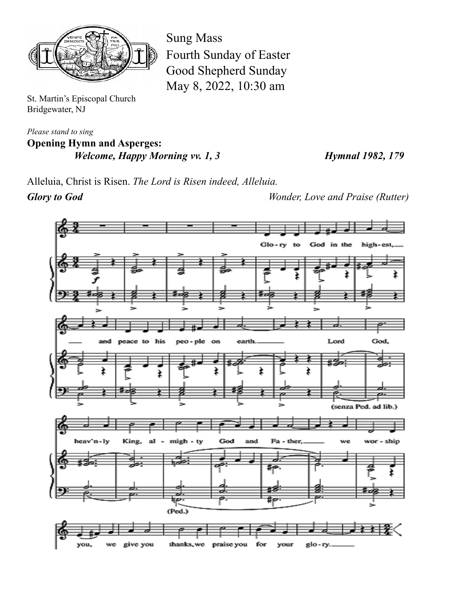

St. Martin's Episcopal Church Bridgewater, NJ

*Please stand to sing* **Opening Hymn and Asperges:** *Welcome, Happy Morning vv. 1, 3 Hymnal 1982, 179*

Alleluia, Christ is Risen. *The Lord is Risen indeed, Alleluia.*

Sung Mass

Fourth Sunday of Easter

Good Shepherd Sunday

May 8, 2022, 10:30 am

*Glory to God Wonder, Love and Praise (Rutter)*

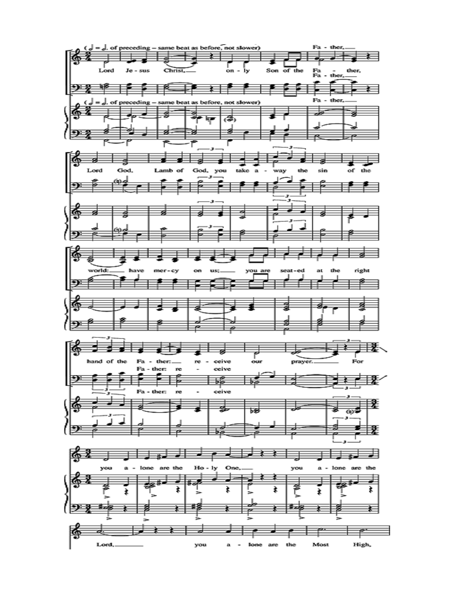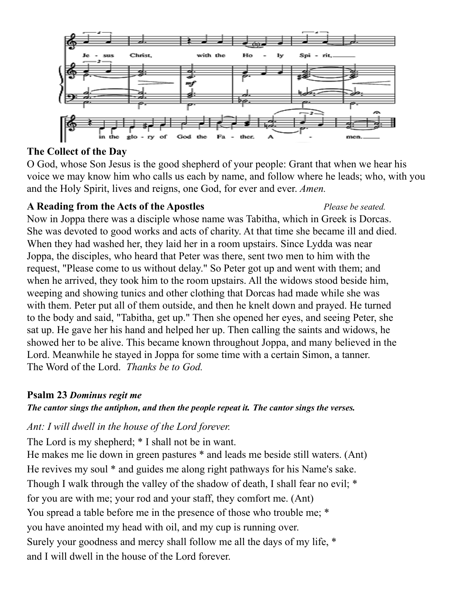

# **The Collect of the Day**

O God, whose Son Jesus is the good shepherd of your people: Grant that when we hear his voice we may know him who calls us each by name, and follow where he leads; who, with you and the Holy Spirit, lives and reigns, one God, for ever and ever. *Amen.*

# **A Reading from the Acts of the Apostles** *Please be seated.*

Now in Joppa there was a disciple whose name was Tabitha, which in Greek is Dorcas. She was devoted to good works and acts of charity. At that time she became ill and died. When they had washed her, they laid her in a room upstairs. Since Lydda was near Joppa, the disciples, who heard that Peter was there, sent two men to him with the request, "Please come to us without delay." So Peter got up and went with them; and when he arrived, they took him to the room upstairs. All the widows stood beside him, weeping and showing tunics and other clothing that Dorcas had made while she was with them. Peter put all of them outside, and then he knelt down and prayed. He turned to the body and said, "Tabitha, get up." Then she opened her eyes, and seeing Peter, she sat up. He gave her his hand and helped her up. Then calling the saints and widows, he showed her to be alive. This became known throughout Joppa, and many believed in the Lord. Meanwhile he stayed in Joppa for some time with a certain Simon, a tanner. The Word of the Lord. *Thanks be to God.*

## **Psalm 23** *Dominus regit me*

## *The cantor sings the antiphon, and then the people repeat it. The cantor sings the verses.*

## *Ant: I will dwell in the house of the Lord forever.*

The Lord is my shepherd; \* I shall not be in want.

He makes me lie down in green pastures \* and leads me beside still waters. (Ant) He revives my soul \* and guides me along right pathways for his Name's sake. Though I walk through the valley of the shadow of death, I shall fear no evil; \* for you are with me; your rod and your staff, they comfort me. (Ant) You spread a table before me in the presence of those who trouble me; \* you have anointed my head with oil, and my cup is running over. Surely your goodness and mercy shall follow me all the days of my life, \* and I will dwell in the house of the Lord forever.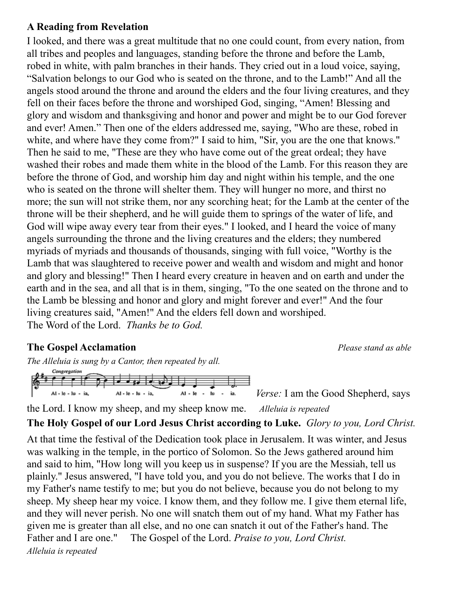#### **A Reading from Revelation**

I looked, and there was a great multitude that no one could count, from every nation, from all tribes and peoples and languages, standing before the throne and before the Lamb, robed in white, with palm branches in their hands. They cried out in a loud voice, saying, "Salvation belongs to our God who is seated on the throne, and to the Lamb!" And all the angels stood around the throne and around the elders and the four living creatures, and they fell on their faces before the throne and worshiped God, singing, "Amen! Blessing and glory and wisdom and thanksgiving and honor and power and might be to our God forever and ever! Amen." Then one of the elders addressed me, saying, "Who are these, robed in white, and where have they come from?" I said to him, "Sir, you are the one that knows." Then he said to me, "These are they who have come out of the great ordeal; they have washed their robes and made them white in the blood of the Lamb. For this reason they are before the throne of God, and worship him day and night within his temple, and the one who is seated on the throne will shelter them. They will hunger no more, and thirst no more; the sun will not strike them, nor any scorching heat; for the Lamb at the center of the throne will be their shepherd, and he will guide them to springs of the water of life, and God will wipe away every tear from their eyes." I looked, and I heard the voice of many angels surrounding the throne and the living creatures and the elders; they numbered myriads of myriads and thousands of thousands, singing with full voice, "Worthy is the Lamb that was slaughtered to receive power and wealth and wisdom and might and honor and glory and blessing!" Then I heard every creature in heaven and on earth and under the earth and in the sea, and all that is in them, singing, "To the one seated on the throne and to the Lamb be blessing and honor and glory and might forever and ever!" And the four living creatures said, "Amen!" And the elders fell down and worshiped. The Word of the Lord. *Thanks be to God.*

## **The Gospel Acclamation** *Please stand as able*

*The Alleluia is sung by a Cantor, then repeated by all.*



*Verse:* I am the Good Shepherd, says

the Lord. I know my sheep, and my sheep know me. *Alleluia is repeated*

**The Holy Gospel of our Lord Jesus Christ according to Luke.** *Glory to you, Lord Christ.* At that time the festival of the Dedication took place in Jerusalem. It was winter, and Jesus was walking in the temple, in the portico of Solomon. So the Jews gathered around him and said to him, "How long will you keep us in suspense? If you are the Messiah, tell us plainly." Jesus answered, "I have told you, and you do not believe. The works that I do in my Father's name testify to me; but you do not believe, because you do not belong to my sheep. My sheep hear my voice. I know them, and they follow me. I give them eternal life,

and they will never perish. No one will snatch them out of my hand. What my Father has given me is greater than all else, and no one can snatch it out of the Father's hand. The Father and I are one." The Gospel of the Lord. *Praise to you, Lord Christ. Alleluia is repeated*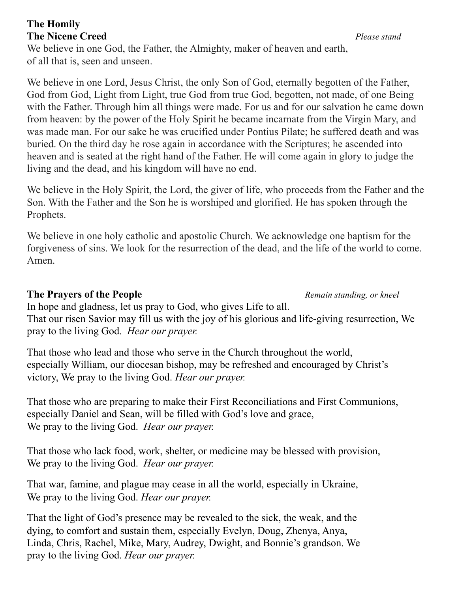## **The Homily The Nicene Creed** *Please stand*

We believe in one God, the Father, the Almighty, maker of heaven and earth, of all that is, seen and unseen.

We believe in one Lord, Jesus Christ, the only Son of God, eternally begotten of the Father, God from God, Light from Light, true God from true God, begotten, not made, of one Being with the Father. Through him all things were made. For us and for our salvation he came down from heaven: by the power of the Holy Spirit he became incarnate from the Virgin Mary, and was made man. For our sake he was crucified under Pontius Pilate; he suffered death and was buried. On the third day he rose again in accordance with the Scriptures; he ascended into heaven and is seated at the right hand of the Father. He will come again in glory to judge the living and the dead, and his kingdom will have no end.

We believe in the Holy Spirit, the Lord, the giver of life, who proceeds from the Father and the Son. With the Father and the Son he is worshiped and glorified. He has spoken through the Prophets.

We believe in one holy catholic and apostolic Church. We acknowledge one baptism for the forgiveness of sins. We look for the resurrection of the dead, and the life of the world to come. Amen.

#### **The Prayers of the People** *Remain standing, or kneel*

In hope and gladness, let us pray to God, who gives Life to all. That our risen Savior may fill us with the joy of his glorious and life-giving resurrection, We pray to the living God. *Hear our prayer.*

That those who lead and those who serve in the Church throughout the world, especially William, our diocesan bishop, may be refreshed and encouraged by Christ's victory, We pray to the living God. *Hear our prayer.*

That those who are preparing to make their First Reconciliations and First Communions, especially Daniel and Sean, will be filled with God's love and grace, We pray to the living God. *Hear our prayer.*

That those who lack food, work, shelter, or medicine may be blessed with provision, We pray to the living God. *Hear our prayer.*

That war, famine, and plague may cease in all the world, especially in Ukraine, We pray to the living God. *Hear our prayer.*

That the light of God's presence may be revealed to the sick, the weak, and the dying, to comfort and sustain them, especially Evelyn, Doug, Zhenya, Anya, Linda, Chris, Rachel, Mike, Mary, Audrey, Dwight, and Bonnie's grandson. We pray to the living God. *Hear our prayer.*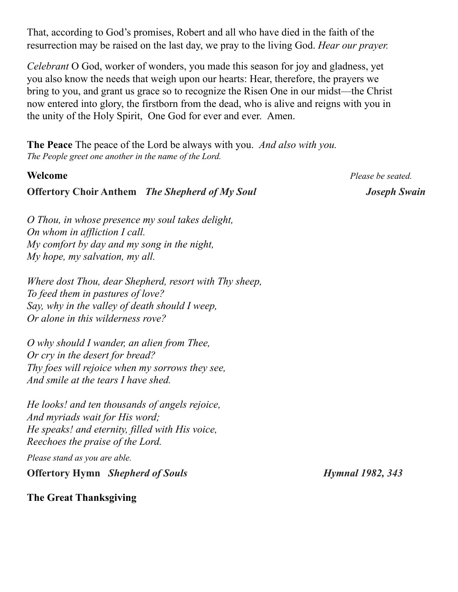That, according to God's promises, Robert and all who have died in the faith of the resurrection may be raised on the last day, we pray to the living God. *Hear our prayer.*

*Celebrant* O God, worker of wonders, you made this season for joy and gladness, yet you also know the needs that weigh upon our hearts: Hear, therefore, the prayers we bring to you, and grant us grace so to recognize the Risen One in our midst—the Christ now entered into glory, the firstborn from the dead, who is alive and reigns with you in the unity of the Holy Spirit, One God for ever and ever. Amen.

**The Peace** The peace of the Lord be always with you. *And also with you. The People greet one another in the name of the Lord.*

#### **Offertory Choir Anthem** *The Shepherd of My Soul Joseph Swain*

**Welcome** *Please be seated.*

*O Thou, in whose presence my soul takes delight, On whom in affliction I call. My comfort by day and my song in the night, My hope, my salvation, my all.*

*Where dost Thou, dear Shepherd, resort with Thy sheep, To feed them in pastures of love? Say, why in the valley of death should I weep, Or alone in this wilderness rove?*

*O why should I wander, an alien from Thee, Or cry in the desert for bread? Thy foes will rejoice when my sorrows they see, And smile at the tears I have shed.*

*He looks! and ten thousands of angels rejoice, And myriads wait for His word; He speaks! and eternity, filled with His voice, Reechoes the praise of the Lord.*

*Please stand as you are able.*

**Offertory Hymn** *Shepherd of Souls Hymnal 1982, 343*

**The Great Thanksgiving**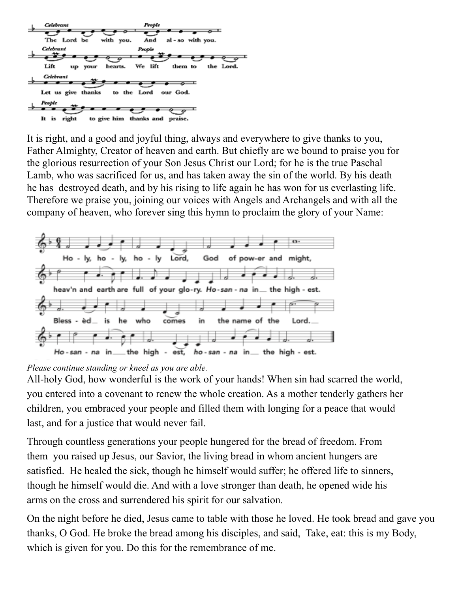

It is right, and a good and joyful thing, always and everywhere to give thanks to you, Father Almighty, Creator of heaven and earth. But chiefly are we bound to praise you for the glorious resurrection of your Son Jesus Christ our Lord; for he is the true Paschal Lamb, who was sacrificed for us, and has taken away the sin of the world. By his death he has destroyed death, and by his rising to life again he has won for us everlasting life. Therefore we praise you, joining our voices with Angels and Archangels and with all the company of heaven, who forever sing this hymn to proclaim the glory of your Name:



#### *Please continue standing or kneel as you are able.*

All-holy God, how wonderful is the work of your hands! When sin had scarred the world, you entered into a covenant to renew the whole creation. As a mother tenderly gathers her children, you embraced your people and filled them with longing for a peace that would last, and for a justice that would never fail.

Through countless generations your people hungered for the bread of freedom. From them you raised up Jesus, our Savior, the living bread in whom ancient hungers are satisfied. He healed the sick, though he himself would suffer; he offered life to sinners, though he himself would die. And with a love stronger than death, he opened wide his arms on the cross and surrendered his spirit for our salvation.

On the night before he died, Jesus came to table with those he loved. He took bread and gave you thanks, O God. He broke the bread among his disciples, and said, Take, eat: this is my Body, which is given for you. Do this for the remembrance of me.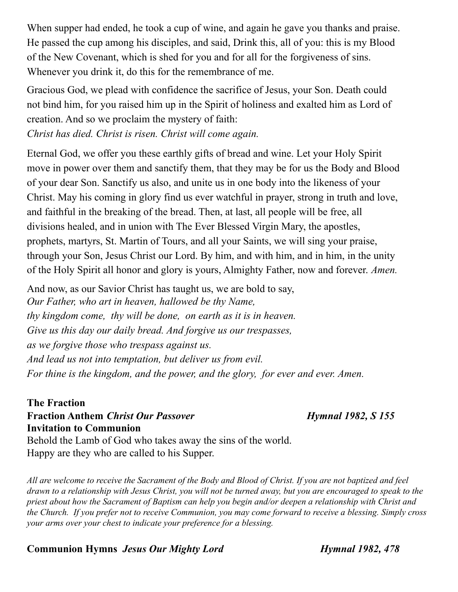When supper had ended, he took a cup of wine, and again he gave you thanks and praise. He passed the cup among his disciples, and said, Drink this, all of you: this is my Blood of the New Covenant, which is shed for you and for all for the forgiveness of sins. Whenever you drink it, do this for the remembrance of me.

Gracious God, we plead with confidence the sacrifice of Jesus, your Son. Death could not bind him, for you raised him up in the Spirit of holiness and exalted him as Lord of creation. And so we proclaim the mystery of faith:

*Christ has died. Christ is risen. Christ will come again.*

Eternal God, we offer you these earthly gifts of bread and wine. Let your Holy Spirit move in power over them and sanctify them, that they may be for us the Body and Blood of your dear Son. Sanctify us also, and unite us in one body into the likeness of your Christ. May his coming in glory find us ever watchful in prayer, strong in truth and love, and faithful in the breaking of the bread. Then, at last, all people will be free, all divisions healed, and in union with The Ever Blessed Virgin Mary, the apostles, prophets, martyrs, St. Martin of Tours, and all your Saints, we will sing your praise, through your Son, Jesus Christ our Lord. By him, and with him, and in him, in the unity of the Holy Spirit all honor and glory is yours, Almighty Father, now and forever. *Amen.*

And now, as our Savior Christ has taught us, we are bold to say, *Our Father, who art in heaven, hallowed be thy Name, thy kingdom come, thy will be done, on earth as it is in heaven. Give us this day our daily bread. And forgive us our trespasses, as we forgive those who trespass against us. And lead us not into temptation, but deliver us from evil. For thine is the kingdom, and the power, and the glory, for ever and ever. Amen.*

**The Fraction Fraction Anthem** *Christ Our Passover Hymnal 1982, S 155* **Invitation to Communion**

Behold the Lamb of God who takes away the sins of the world. Happy are they who are called to his Supper.

*All are welcome to receive the Sacrament of the Body and Blood of Christ. If you are not baptized and feel drawn to a relationship with Jesus Christ, you will not be turned away, but you are encouraged to speak to the priest about how the Sacrament of Baptism can help you begin and/or deepen a relationship with Christ and the Church. If you prefer not to receive Communion, you may come forward to receive a blessing. Simply cross your arms over your chest to indicate your preference for a blessing.*

**Communion Hymns** *Jesus Our Mighty Lord Hymnal 1982, 478*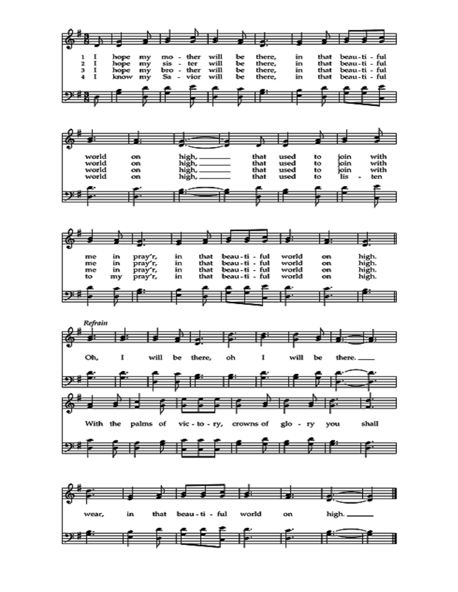